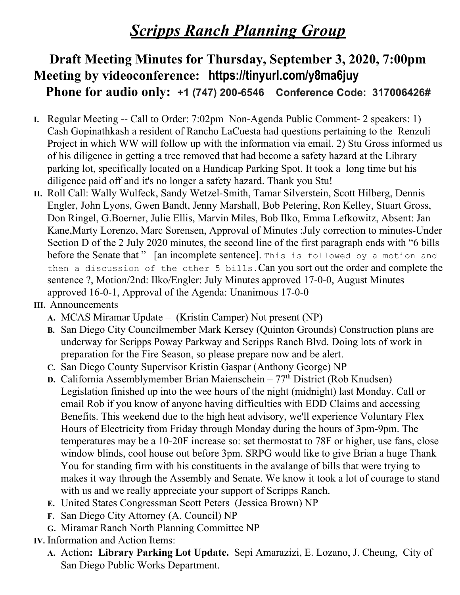## *Scripps Ranch Planning Group*

## **Draft Meeting Minutes for Thursday, September 3, 2020, 7:00pm Meeting by videoconference: https://tinyurl.com/y8ma6juy Phone for audio only: +1 (747) 200-6546 Conference Code: 317006426#**

- **I.** Regular Meeting -- Call to Order: 7:02pm Non-Agenda Public Comment- 2 speakers: 1) Cash Gopinathkash a resident of Rancho LaCuesta had questions pertaining to the Renzuli Project in which WW will follow up with the information via email. 2) Stu Gross informed us of his diligence in getting a tree removed that had become a safety hazard at the Library parking lot, specifically located on a Handicap Parking Spot. It took a long time but his diligence paid off and it's no longer a safety hazard. Thank you Stu!
- **II.** Roll Call: Wally Wulfeck, Sandy Wetzel-Smith, Tamar Silverstein, Scott Hilberg, Dennis Engler, John Lyons, Gwen Bandt, Jenny Marshall, Bob Petering, Ron Kelley, Stuart Gross, Don Ringel, G.Boerner, Julie Ellis, Marvin Miles, Bob Ilko, Emma Lefkowitz, Absent: Jan Kane,Marty Lorenzo, Marc Sorensen, Approval of Minutes :July correction to minutes-Under Section D of the 2 July 2020 minutes, the second line of the first paragraph ends with "6 bills before the Senate that" [an incomplete sentence]. This is followed by a motion and then a discussion of the other 5 bills.Can you sort out the order and complete the sentence ?, Motion/2nd: Ilko/Engler: July Minutes approved 17-0-0, August Minutes approved 16-0-1, Approval of the Agenda: Unanimous 17-0-0
- **III.** Announcements
	- **A.** MCAS Miramar Update (Kristin Camper) Not present (NP)
	- **B.** San Diego City Councilmember Mark Kersey (Quinton Grounds) Construction plans are underway for Scripps Poway Parkway and Scripps Ranch Blvd. Doing lots of work in preparation for the Fire Season, so please prepare now and be alert.
	- **C.** San Diego County Supervisor Kristin Gaspar (Anthony George) NP
	- **D.** California Assemblymember Brian Maienschein 77<sup>th</sup> District (Rob Knudsen) Legislation finished up into the wee hours of the night (midnight) last Monday. Call or email Rob if you know of anyone having difficulties with EDD Claims and accessing Benefits. This weekend due to the high heat advisory, we'll experience Voluntary Flex Hours of Electricity from Friday through Monday during the hours of 3pm-9pm. The temperatures may be a 10-20F increase so: set thermostat to 78F or higher, use fans, close window blinds, cool house out before 3pm. SRPG would like to give Brian a huge Thank You for standing firm with his constituents in the avalange of bills that were trying to makes it way through the Assembly and Senate. We know it took a lot of courage to stand with us and we really appreciate your support of Scripps Ranch.
	- **E.** United States Congressman Scott Peters (Jessica Brown) NP
	- **F.** San Diego City Attorney (A. Council) NP
	- **G.** Miramar Ranch North Planning Committee NP
- **IV.** Information and Action Items:
	- **A.** Action**: Library Parking Lot Update.** Sepi Amarazizi, E. Lozano, J. Cheung, City of San Diego Public Works Department.